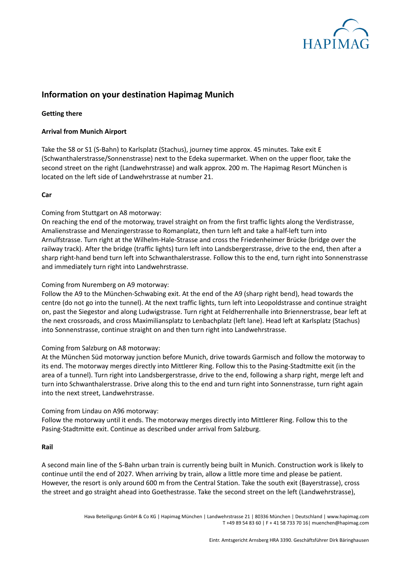

# **Information on your destination Hapimag Munich**

## **Getting there**

### **Arrival from Munich Airport**

Take the S8 or S1 (S-Bahn) to Karlsplatz (Stachus), journey time approx. 45 minutes. Take exit E (Schwanthalerstrasse/Sonnenstrasse) next to the Edeka supermarket. When on the upper floor, take the second street on the right (Landwehrstrasse) and walk approx. 200 m. The Hapimag Resort München is located on the left side of Landwehrstrasse at number 21.

#### **Car**

## Coming from Stuttgart on A8 motorway:

On reaching the end of the motorway, travel straight on from the first traffic lights along the Verdistrasse, Amalienstrasse and Menzingerstrasse to Romanplatz, then turn left and take a half-left turn into Arnulfstrasse. Turn right at the Wilhelm-Hale-Strasse and cross the Friedenheimer Brücke (bridge over the railway track). After the bridge (traffic lights) turn left into Landsbergerstrasse, drive to the end, then after a sharp right-hand bend turn left into Schwanthalerstrasse. Follow this to the end, turn right into Sonnenstrasse and immediately turn right into Landwehrstrasse.

### Coming from Nuremberg on A9 motorway:

Follow the A9 to the München-Schwabing exit. At the end of the A9 (sharp right bend), head towards the centre (do not go into the tunnel). At the next traffic lights, turn left into Leopoldstrasse and continue straight on, past the Siegestor and along Ludwigstrasse. Turn right at Feldherrenhalle into Briennerstrasse, bear left at the next crossroads, and cross Maximiliansplatz to Lenbachplatz (left lane). Head left at Karlsplatz (Stachus) into Sonnenstrasse, continue straight on and then turn right into Landwehrstrasse.

#### Coming from Salzburg on A8 motorway:

At the München Süd motorway junction before Munich, drive towards Garmisch and follow the motorway to its end. The motorway merges directly into Mittlerer Ring. Follow this to the Pasing-Stadtmitte exit (in the area of a tunnel). Turn right into Landsbergerstrasse, drive to the end, following a sharp right, merge left and turn into Schwanthalerstrasse. Drive along this to the end and turn right into Sonnenstrasse, turn right again into the next street, Landwehrstrasse.

#### Coming from Lindau on A96 motorway:

Follow the motorway until it ends. The motorway merges directly into Mittlerer Ring. Follow this to the Pasing-Stadtmitte exit. Continue as described under arrival from Salzburg.

#### **Rail**

A second main line of the S-Bahn urban train is currently being built in Munich. Construction work is likely to continue until the end of 2027. When arriving by train, allow a little more time and please be patient. However, the resort is only around 600 m from the Central Station. Take the south exit (Bayerstrasse), cross the street and go straight ahead into Goethestrasse. Take the second street on the left (Landwehrstrasse),